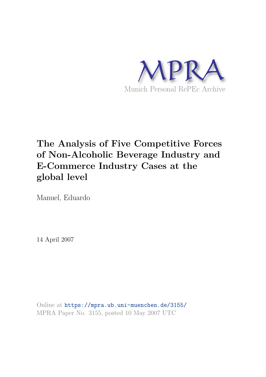

# **The Analysis of Five Competitive Forces of Non-Alcoholic Beverage Industry and E-Commerce Industry Cases at the global level**

Manuel, Eduardo

14 April 2007

Online at https://mpra.ub.uni-muenchen.de/3155/ MPRA Paper No. 3155, posted 10 May 2007 UTC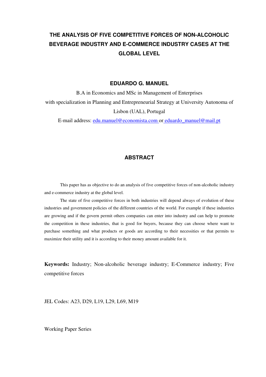#### **EDUARDO G. MANUEL**

B.A in Economics and MSc in Management of Enterprises with specialization in Planning and Entrepreneurial Strategy at University Autonoma of Lisbon (UAL), Portugal

E-mail address: edu.manuel@economista.com or eduardo\_manuel@mail.pt

## **ABSTRACT**

This paper has as objective to do an analysis of five competitive forces of non-alcoholic industry and e-commerce industry at the global level.

The state of five competitive forces in both industries will depend always of evolution of these industries and government policies of the different countries of the world. For example if these industries are growing and if the govern permit others companies can enter into industry and can help to promote the competition in these industries, that is good for buyers, because they can choose where want to purchase something and what products or goods are according to their necessities or that permits to maximize their utility and it is according to their money amount available for it.

**Keywords:** Industry; Non-alcoholic beverage industry; E-Commerce industry; Five competitive forces

JEL Codes: A23, D29, L19, L29, L69, M19

Working Paper Series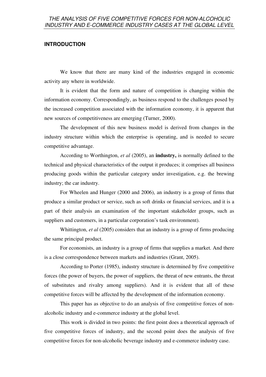#### **INTRODUCTION**

We know that there are many kind of the industries engaged in economic activity any where in worldwide.

It is evident that the form and nature of competition is changing within the information economy. Correspondingly, as business respond to the challenges posed by the increased competition associated with the information economy, it is apparent that new sources of competitiveness are emerging (Turner, 2000).

The development of this new business model is derived from changes in the industry structure within which the enterprise is operating, and is needed to secure competitive advantage.

According to Worthington, *et al* (2005), an **industry,** is normally defined to the technical and physical characteristics of the output it produces; it comprises all business producing goods within the particular category under investigation, e.g. the brewing industry; the car industry.

For Wheelen and Hunger (2000 and 2006), an industry is a group of firms that produce a similar product or service, such as soft drinks or financial services, and it is a part of their analysis an examination of the important stakeholder groups, such as suppliers and customers, in a particular corporation's task environment).

Whittington, *et al* (2005) considers that an industry is a group of firms producing the same principal product.

For economists, an industry is a group of firms that supplies a market. And there is a close correspondence between markets and industries (Grant, 2005).

According to Porter (1985), industry structure is determined by five competitive forces (the power of buyers, the power of suppliers, the threat of new entrants, the threat of substitutes and rivalry among suppliers). And it is evident that all of these competitive forces will be affected by the development of the information economy.

This paper has as objective to do an analysis of five competitive forces of nonalcoholic industry and e-commerce industry at the global level.

This work is divided in two points: the first point does a theoretical approach of five competitive forces of industry, and the second point does the analysis of five competitive forces for non-alcoholic beverage industry and e-commerce industry case.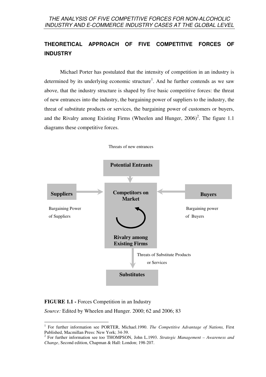## **THEORETICAL APPROACH OF FIVE COMPETITIVE FORCES OF INDUSTRY**

Michael Porter has postulated that the intensity of competition in an industry is determined by its underlying economic structure<sup>1</sup>. And he further contends as we saw above, that the industry structure is shaped by five basic competitive forces: the threat of new entrances into the industry, the bargaining power of suppliers to the industry, the threat of substitute products or services, the bargaining power of customers or buyers, and the Rivalry among Existing Firms (Wheelen and Hunger,  $2006$ )<sup>2</sup>. The figure 1.1 diagrams these competitive forces.



**FIGURE 1.1 -** Forces Competition in an Industry

*Source:* Edited by Wheelen and Hunger. 2000; 62 and 2006; 83

 $\overline{a}$ 1 For further information see PORTER, Michael.1990. *The Competitive Advantage of Nations,* First Published, Macmillan Press: New York; 34-39.

<sup>2</sup> For further information see too THOMPSON, John L.1993. *Strategic Management – Awareness and Change*, Second edition, Chapman & Hall: London; 198-207.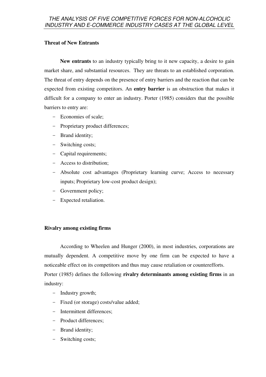## **Threat of New Entrants**

**New entrants** to an industry typically bring to it new capacity, a desire to gain market share, and substantial resources. They are threats to an established corporation. The threat of entry depends on the presence of entry barriers and the reaction that can be expected from existing competitors. An **entry barrier** is an obstruction that makes it difficult for a company to enter an industry. Porter (1985) considers that the possible barriers to entry are:

- Economies of scale;
- Proprietary product differences;
- Brand identity;
- Switching costs;
- Capital requirements;
- Access to distribution;
- Absolute cost advantages (Proprietary learning curve; Access to necessary inputs; Proprietary low-cost product design);
- Government policy;
- Expected retaliation.

## **Rivalry among existing firms**

According to Wheelen and Hunger (2000), in most industries, corporations are mutually dependent. A competitive move by one firm can be expected to have a noticeable effect on its competitors and thus may cause retaliation or counterefforts. Porter (1985) defines the following **rivalry determinants among existing firms** in an industry:

- Industry growth;
- Fixed (or storage) costs/value added;
- Intermittent differences;
- Product differences;
- Brand identity;
- Switching costs;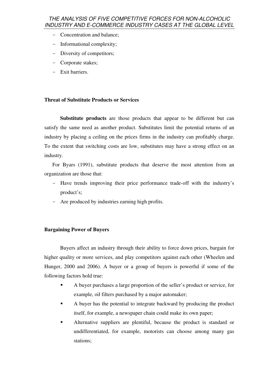- Concentration and balance;
- Informational complexity;
- Diversity of competitors;
- Corporate stakes;
- Exit barriers.

## **Threat of Substitute Products or Services**

**Substitute products** are those products that appear to be different but can satisfy the same need as another product. Substitutes limit the potential returns of an industry by placing a ceiling on the prices firms in the industry can profitably charge. To the extent that switching costs are low, substitutes may have a strong effect on an industry.

For Byars (1991), substitute products that deserve the most attention from an organization are those that:

- Have trends improving their price performance trade-off with the industry's product's;
- Are produced by industries earning high profits.

## **Bargaining Power of Buyers**

Buyers affect an industry through their ability to force down prices, bargain for higher quality or more services, and play competitors against each other (Wheelen and Hunger, 2000 and 2006). A buyer or a group of buyers is powerful if some of the following factors hold true:

- A buyer purchases a large proportion of the seller's product or service, for example, oil filters purchased by a major automaker;
- A buyer has the potential to integrate backward by producing the product itself, for example, a newspaper chain could make its own paper;
- Alternative suppliers are plentiful, because the product is standard or undifferentiated, for example, motorists can choose among many gas stations;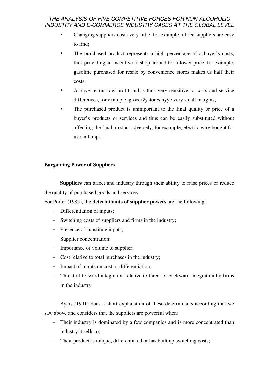- Changing suppliers costs very little, for example, office suppliers are easy to find;
- The purchased product represents a high percentage of a buyer's costs, thus providing an incentive to shop around for a lower price, for example, gasoline purchased for resale by convenience stores makes us half their costs;
- A buyer earns low profit and is thus very sensitive to costs and service differences, for example, grocerÿÿstores hÿÿe very small margins;
- The purchased product is unimportant to the final quality or price of a buyer's products or services and thus can be easily substituted without affecting the final product adversely, for example, electric wire bought for use in lamps.

## **Bargaining Power of Suppliers**

**Suppliers** can affect and industry through their ability to raise prices or reduce the quality of purchased goods and services.

For Porter (1985), the **determinants of supplier powers** are the following:

- Differentiation of inputs;
- Switching costs of suppliers and firms in the industry;
- Presence of substitute inputs;
- Supplier concentration;
- Importance of volume to supplier;
- Cost relative to total purchases in the industry;
- Impact of inputs on cost or differentiation;
- Threat of forward integration relative to threat of backward integration by firms in the industry.

Byars (1991) does a short explanation of these determinants according that we saw above and considers that the suppliers are powerful when:

- Their industry is dominated by a few companies and is more concentrated than industry it sells to;
- Their product is unique, differentiated or has built up switching costs;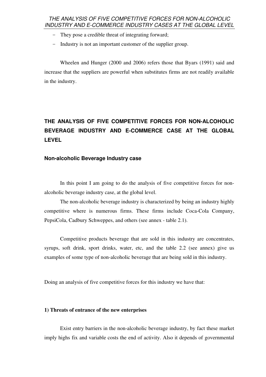- They pose a credible threat of integrating forward;
- Industry is not an important customer of the supplier group.

Wheelen and Hunger (2000 and 2006) refers those that Byars (1991) said and increase that the suppliers are powerful when substitutes firms are not readily available in the industry.

## **THE ANALYSIS OF FIVE COMPETITIVE FORCES FOR NON-ALCOHOLIC BEVERAGE INDUSTRY AND E-COMMERCE CASE AT THE GLOBAL LEVEL**

#### **Non-alcoholic Beverage Industry case**

In this point I am going to do the analysis of five competitive forces for nonalcoholic beverage industry case, at the global level.

The non-alcoholic beverage industry is characterized by being an industry highly competitive where is numerous firms. These firms include Coca-Cola Company, PepsiCola, Cadbury Schweppes, and others (see annex - table 2.1).

Competitive products beverage that are sold in this industry are concentrates, syrups, soft drink, sport drinks, water, etc, and the table 2.2 (see annex) give us examples of some type of non-alcoholic beverage that are being sold in this industry.

Doing an analysis of five competitive forces for this industry we have that:

#### **1) Threats of entrance of the new enterprises**

Exist entry barriers in the non-alcoholic beverage industry, by fact these market imply highs fix and variable costs the end of activity. Also it depends of governmental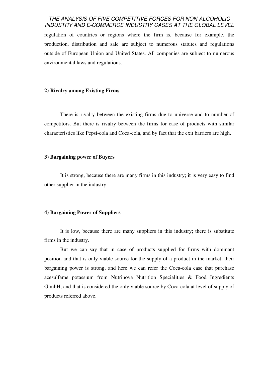regulation of countries or regions where the firm is, because for example, the production, distribution and sale are subject to numerous statutes and regulations outside of European Union and United States. All companies are subject to numerous environmental laws and regulations.

### **2) Rivalry among Existing Firms**

There is rivalry between the existing firms due to universe and to number of competitors. But there is rivalry between the firms for case of products with similar characteristics like Pepsi-cola and Coca-cola, and by fact that the exit barriers are high.

#### **3) Bargaining power of Buyers**

It is strong, because there are many firms in this industry; it is very easy to find other supplier in the industry.

#### **4) Bargaining Power of Suppliers**

It is low, because there are many suppliers in this industry; there is substitute firms in the industry.

But we can say that in case of products supplied for firms with dominant position and that is only viable source for the supply of a product in the market, their bargaining power is strong, and here we can refer the Coca-cola case that purchase acesulfame potassium from Nutrinova Nutrition Specialities & Food Ingredients GimbH, and that is considered the only viable source by Coca-cola at level of supply of products referred above.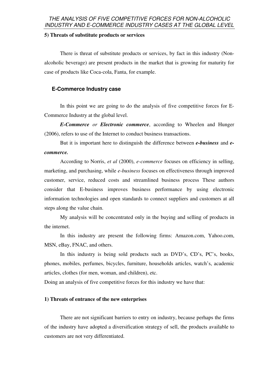#### **5) Threats of substitute products or services**

There is threat of substitute products or services, by fact in this industry (Nonalcoholic beverage) are present products in the market that is growing for maturity for case of products like Coca-cola, Fanta, for example.

## **E-Commerce Industry case**

In this point we are going to do the analysis of five competitive forces for E-Commerce Industry at the global level.

*E-Commerce or Electronic commerce*, according to Wheelen and Hunger (2006), refers to use of the Internet to conduct business transactions.

But it is important here to distinguish the difference between *e-business* and *ecommerce.*

According to Norris, *et al* (2000), *e-commerce* focuses on efficiency in selling, marketing, and purchasing, while *e-business* focuses on effectiveness through improved customer, service, reduced costs and streamlined business process These authors consider that E-business improves business performance by using electronic information technologies and open standards to connect suppliers and customers at all steps along the value chain.

My analysis will be concentrated only in the buying and selling of products in the internet.

In this industry are present the following firms: Amazon.com, Yahoo.com, MSN, eBay, FNAC, and others.

In this industry is being sold products such as DVD's, CD's, PC's, books, phones, mobiles, perfumes, bicycles, furniture, households articles, watch's, academic articles, clothes (for men, woman, and children), etc.

Doing an analysis of five competitive forces for this industry we have that:

#### **1) Threats of entrance of the new enterprises**

There are not significant barriers to entry on industry, because perhaps the firms of the industry have adopted a diversification strategy of sell, the products available to customers are not very differentiated.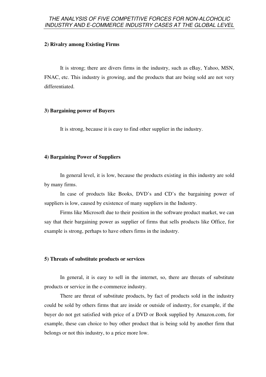#### **2) Rivalry among Existing Firms**

It is strong; there are divers firms in the industry, such as eBay, Yahoo, MSN, FNAC, etc. This industry is growing, and the products that are being sold are not very differentiated.

#### **3) Bargaining power of Buyers**

It is strong, because it is easy to find other supplier in the industry.

#### **4) Bargaining Power of Suppliers**

In general level, it is low, because the products existing in this industry are sold by many firms.

In case of products like Books, DVD's and CD's the bargaining power of suppliers is low, caused by existence of many suppliers in the Industry.

Firms like Microsoft due to their position in the software product market, we can say that their bargaining power as supplier of firms that sells products like Office, for example is strong, perhaps to have others firms in the industry.

#### **5) Threats of substitute products or services**

In general, it is easy to sell in the internet, so, there are threats of substitute products or service in the e-commerce industry.

There are threat of substitute products, by fact of products sold in the industry could be sold by others firms that are inside or outside of industry, for example, if the buyer do not get satisfied with price of a DVD or Book supplied by Amazon.com, for example, these can choice to buy other product that is being sold by another firm that belongs or not this industry, to a price more low.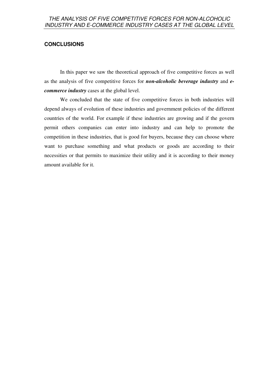## **CONCLUSIONS**

In this paper we saw the theoretical approach of five competitive forces as well as the analysis of five competitive forces for *non-alcoholic beverage industry* and *ecommerce industry* cases at the global level.

We concluded that the state of five competitive forces in both industries will depend always of evolution of these industries and government policies of the different countries of the world. For example if these industries are growing and if the govern permit others companies can enter into industry and can help to promote the competition in these industries, that is good for buyers, because they can choose where want to purchase something and what products or goods are according to their necessities or that permits to maximize their utility and it is according to their money amount available for it.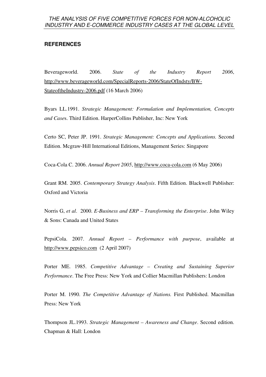## **REFERENCES**

Beverageworld. 2006. *State of the Industry Report 2006*, http://www.beverageworld.com/SpecialReports-2006/StateOfIndsty/BW-StateoftheIndustry-2006.pdf (16 March 2006)

Byars LL.1991. *Strategic Management: Formulation and Implementation, Concepts and Case*s. Third Edition. HarperCollins Publisher, Inc: New York

Certo SC, Peter JP. 1991. *Strategic Management: Concepts and Applications.* Second Edition. Mcgraw-Hill International Editions, Management Series: Singapore

Coca-Cola C. 2006. *Annual Report 2005*, http://www.coca-cola.com (6 May 2006)

Grant RM. 2005. *Contemporary Strategy Analysis*. Fifth Edition. Blackwell Publisher: Oxford and Victoria

Norris G, *et al*. 2000. *E-Business and ERP – Transforming the Enterprise*. John Wiley & Sons: Canada and United States

PepsiCola. 2007. *Annual Report – Performance with purpose*, available at http://www.pepsico.com (2 April 2007)

Porter ME. 1985. *Competitive Advantage – Creating and Sustaining Superior Performance*. The Free Press: New York and Collier Macmillan Publishers: London

Porter M. 1990. *The Competitive Advantage of Nations.* First Published. Macmillan Press: New York

Thompson JL.1993. *Strategic Management – Awareness and Change*. Second edition. Chapman & Hall: London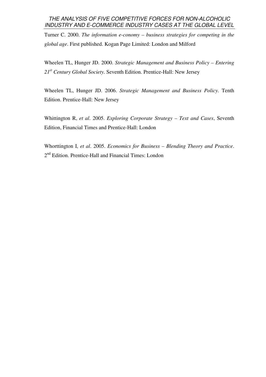Turner C. 2000. *The information e-conomy – business strategies for competing in the global age*. First published. Kogan Page Limited: London and Milford

Wheelen TL, Hunger JD. 2000. *Strategic Management and Business Policy – Entering 21st Century Global Society*. Seventh Edition. Prentice-Hall: New Jersey

Wheelen TL, Hunger JD. 2006. *Strategic Management and Business Policy*. Tenth Edition. Prentice-Hall: New Jersey

Whittington R, *et al*. 2005. *Exploring Corporate Strategy – Text and Cases*, Seventh Edition, Financial Times and Prentice-Hall: London

Whorttington I, *et al*. 2005. *Economics for Business – Blending Theory and Practice*. 2<sup>nd</sup> Edition. Prentice-Hall and Financial Times: London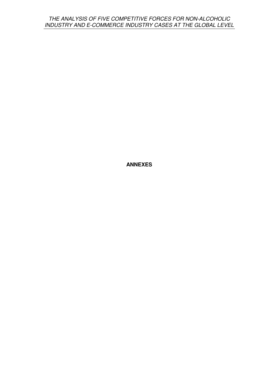**ANNEXES**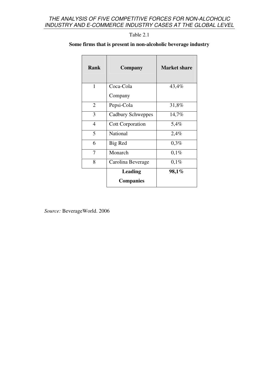Table 2.1

## **Some firms that is present in non-alcoholic beverage industry**

| <b>Rank</b>    | Company                            | <b>Market share</b> |
|----------------|------------------------------------|---------------------|
| $\mathbf{1}$   | Coca-Cola                          | 43,4%               |
|                | Company                            |                     |
| $\overline{2}$ | Pepsi-Cola                         | 31,8%               |
| 3              | Cadbury Schweppes                  | 14,7%               |
| 4              | <b>Cott Corporation</b>            | 5,4%                |
| 5              | National                           | 2,4%                |
| 6              | Big Red                            | 0,3%                |
| 7              | Monarch                            | 0,1%                |
| 8              | Carolina Beverage                  | 0,1%                |
|                | <b>Leading</b><br><b>Companies</b> | $98,1\%$            |
|                |                                    |                     |

*Source:* BeverageWorld. 2006